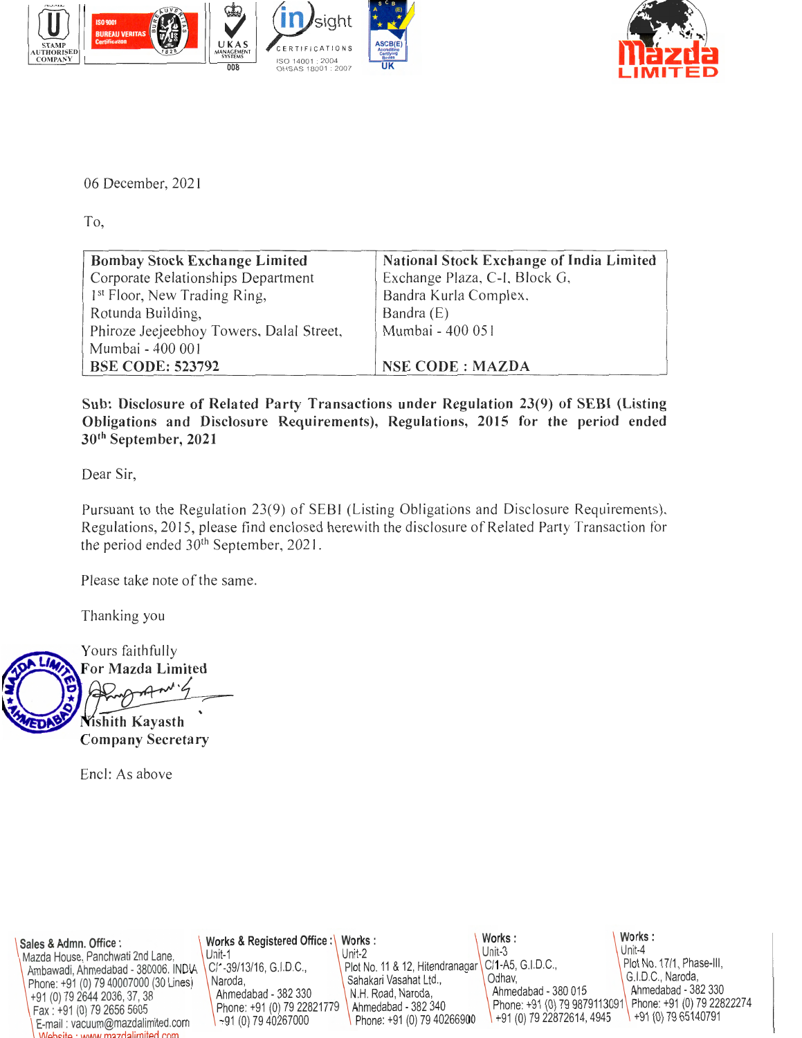



06 December, 2021

To,

| <b>Bombay Stock Exchange Limited</b>     | <b>National Stock Exchange of India Limited</b> |
|------------------------------------------|-------------------------------------------------|
| Corporate Relationships Department       | Exchange Plaza, C-I, Block G,                   |
| 1 <sup>st</sup> Floor, New Trading Ring, | Bandra Kurla Complex,                           |
| Rotunda Building,                        | Bandra (E)                                      |
| Phiroze Jeejeebhoy Towers, Dalal Street, | Mumbai - 400 051                                |
| Mumbai - 400 001                         |                                                 |
| <b>BSE CODE: 523792</b>                  | <b>NSE CODE: MAZDA</b>                          |

**Sub: Disclosure of Related Party Transactions under Regulation 23(9) of SEBI (Listing Obligations and Disclosure Requirements), Regulations, 2015 for the period ended 30th September, 2021** 

Dear Sir,

Pursuant to the Regulation 23(9) of SEBI (Listing Obligations and Disclosure Requirements), Regulations, 2015 , please find enclosed herewith the disclosure of Related Party Transaction for the period ended 30<sup>th</sup> September, 2021.

Please take note of the same.

Thanking you

Yours faithfully

For Mazda Limited

**Nishith Kayasth Company Secretary** 

Encl: As above

| Sales & Admn. Office :<br>Mazda House, Panchwati 2nd Lane,<br>Ambawadi, Ahmedabad - 380006. INDA   C/1-39/13/16, G.I.D.C.,<br>Phone: +91 (0) 79 40007000 (30 Lines<br>1+91 (0) 79 2644 2036, 37, 38<br>Fax: +91 (0) 79 2656 5605<br>E-mail: vacuum@mazdalimited.corn<br>Moheito : www.mazdalimitad.com | Works & Registered Office:\ Works:<br>$Unif-1$<br>Naroda.<br>Ahmedabad - 382 330<br>Phone: +91 (0) 79 2282179<br>$\left(-191(0) 7940267000\right)$ | Unit-2<br>Plc t No. 11 & 12, Hitendranagar   C/1-A5, G.I.D.C.,<br>Saihakari Vasahat Ltd.,<br>N.H. Road, Naroda,<br>A.hmedabad - 382 340<br>Phone: +91 (0) 79 40266900 | Works:<br>$Unit-3$<br>Ocihav.<br>Ahmedabad - 380 015<br>Phone: +91 (0) 79 9879111091<br>$\left( \begin{array}{c} +91(0) 7922872614, 4945 \end{array} \right)$ | Works:<br>Unit-4<br>Plot No. 17/1, Phase-III,<br>G. I.D.C., Naroda,<br>A hmedabad - 382 330<br>F'hone: +91 (0) 79 22822274<br>$1+91(0)$ 79 65140791 |
|--------------------------------------------------------------------------------------------------------------------------------------------------------------------------------------------------------------------------------------------------------------------------------------------------------|----------------------------------------------------------------------------------------------------------------------------------------------------|-----------------------------------------------------------------------------------------------------------------------------------------------------------------------|---------------------------------------------------------------------------------------------------------------------------------------------------------------|-----------------------------------------------------------------------------------------------------------------------------------------------------|
|--------------------------------------------------------------------------------------------------------------------------------------------------------------------------------------------------------------------------------------------------------------------------------------------------------|----------------------------------------------------------------------------------------------------------------------------------------------------|-----------------------------------------------------------------------------------------------------------------------------------------------------------------------|---------------------------------------------------------------------------------------------------------------------------------------------------------------|-----------------------------------------------------------------------------------------------------------------------------------------------------|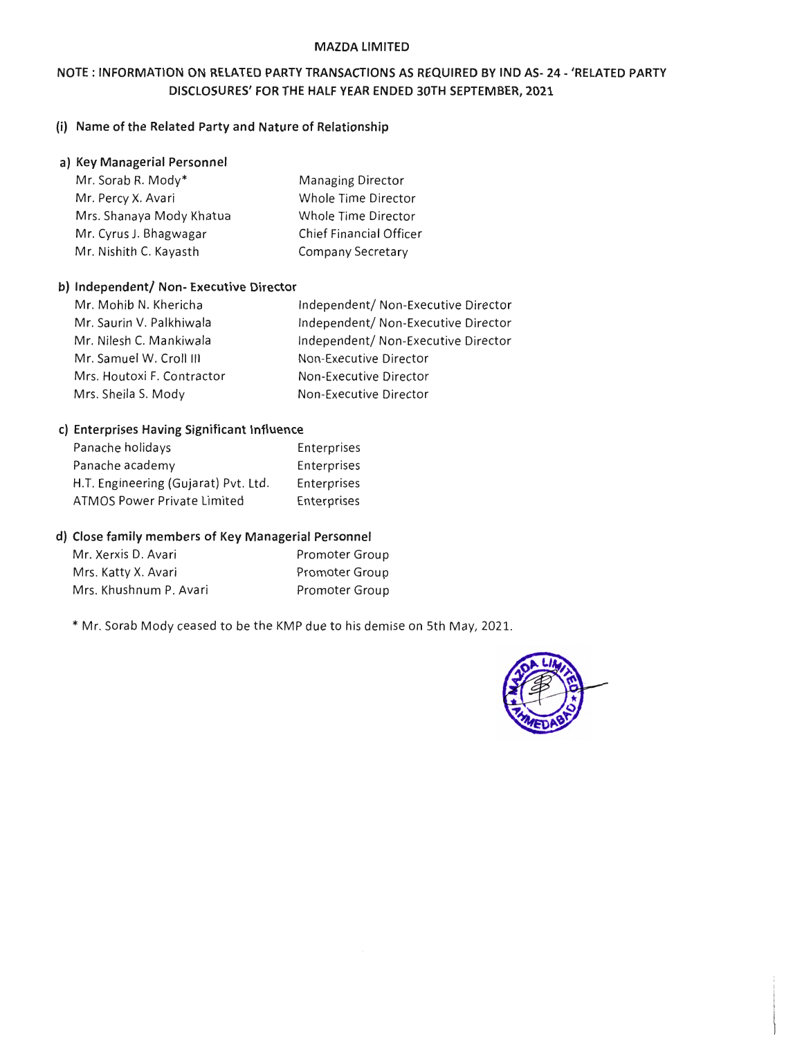### MAZDA LIMITED

# NOTE: INFORMATION ON RELATED PARTY TRANSACTIONS AS REQUIRED BY IND AS- 24- 'RELATED PARTY DISCLOSURES' FOR THE HALF YEAR ENDED 30TH SEPTEMBER, 2021

# (i) Name of the Related Party and Nature of Relationship

#### a) Key Managerial Personnel

| Mr. Sorab R. Mody*       | <b>Managing Director</b>       |
|--------------------------|--------------------------------|
| Mr. Percy X. Avari       | Whole Time Director            |
| Mrs. Shanaya Mody Khatua | Whole Time Director            |
| Mr. Cyrus J. Bhagwagar   | <b>Chief Financial Officer</b> |
| Mr. Nishith C. Kayasth   | Company Secretary              |

## b) Independent/ Non- Executive Director

| Independent/ Non-Executive Director |
|-------------------------------------|
| Independent/ Non-Executive Director |
| Independent/ Non-Executive Director |
| Non-Executive Director              |
| Non-Executive Director              |
| Non-Executive Director              |
|                                     |

### c) Enterprises Having Significant Influence

| Panache holidays                     | Enterprises |
|--------------------------------------|-------------|
| Panache academy                      | Enterprises |
| H.T. Engineering (Gujarat) Pvt. Ltd. | Enterprises |
| ATMOS Power Private Limited          | Enterprises |

#### d) Close family members of Key Managerial Personnel

| Mr. Xerxis D. Avari    | <b>Promoter Group</b> |
|------------------------|-----------------------|
| Mrs. Katty X. Avari    | Promoter Group        |
| Mrs. Khushnum P. Avari | <b>Promoter Group</b> |

\*Mr. Sorab Mody ceased to be the KMP due to his demise on 5th May, 2021.

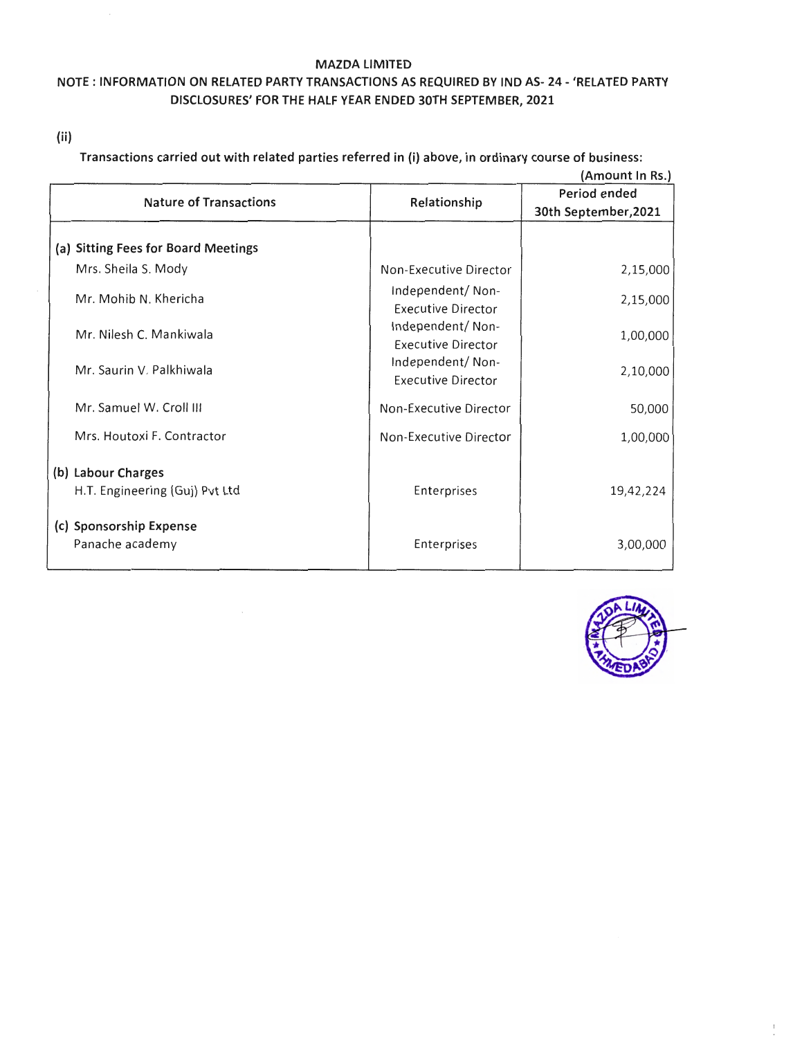#### MAZDA LIMITED

# NOTE: INFORMATION ON RELATED PARTY TRANSACTIONS AS REQUIRED BY IND AS- 24- 'RELATED PARTY DISCLOSURES' FOR THE HALF YEAR ENDED 30TH SEPTEMBER, 2021

( ii)

Transactions carried out with related parties referred in (i) above, in ordinary course of business:

|                                                      |                                               | (Amount In Rs.)      |
|------------------------------------------------------|-----------------------------------------------|----------------------|
| <b>Nature of Transactions</b>                        | Relationship                                  | Period ended         |
|                                                      |                                               | 30th September, 2021 |
| (a) Sitting Fees for Board Meetings                  |                                               |                      |
| Mrs. Sheila S. Mody                                  | Non-Executive Director                        | 2,15,000             |
| Mr. Mohib N. Khericha                                | Independent/Non-<br><b>Executive Director</b> | 2,15,000             |
| Mr. Nilesh C. Mankiwala                              | Independent/Non-<br><b>Executive Director</b> | 1,00,000             |
| Mr. Saurin V. Palkhiwala                             | Independent/Non-<br><b>Executive Director</b> | 2,10,000             |
| Mr. Samuel W. Croll III                              | Non-Executive Director                        | 50,000               |
| Mrs. Houtoxi F. Contractor                           | Non-Executive Director                        | 1,00,000             |
| (b) Labour Charges<br>H.T. Engineering (Guj) Pvt Ltd | Enterprises                                   | 19,42,224            |
| (c) Sponsorship Expense<br>Panache academy           | Enterprises                                   | 3,00,000             |

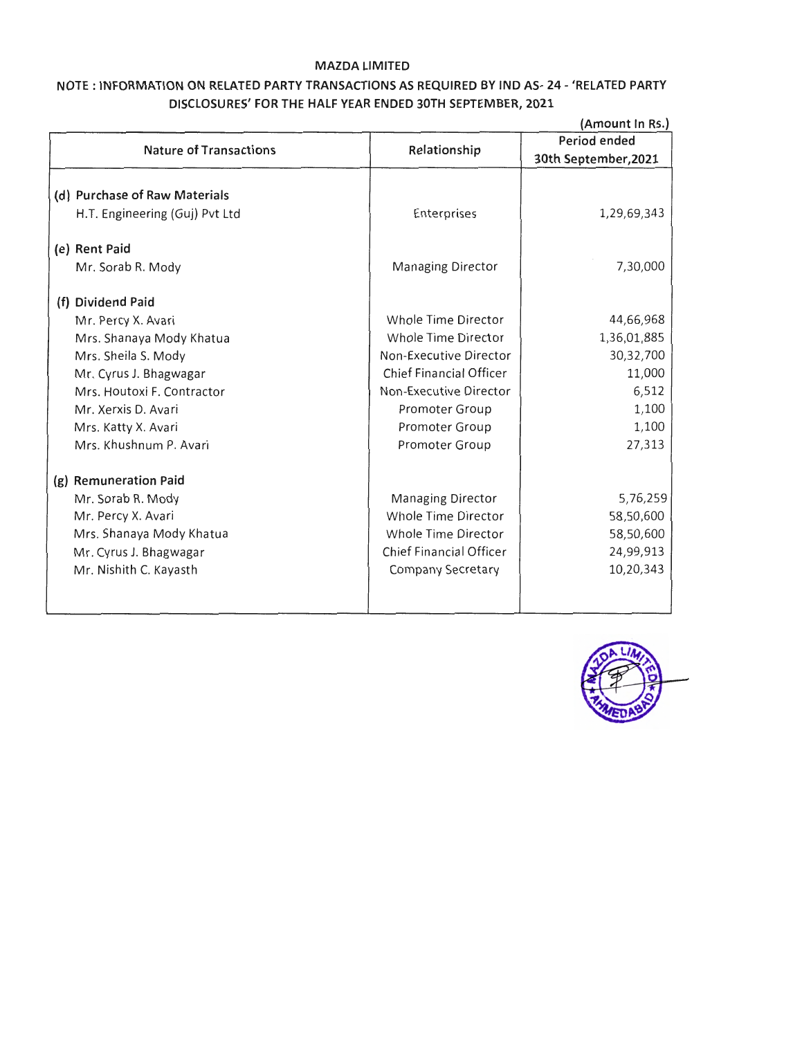## **MAZDA liMITED**

# **NOTE : INFORMATION ON RELATED PARTY TRANSACTIONS AS REQUIRED BY IND AS- 24- <sup>1</sup> RELATED PARTY DISCLOSURES' FOR THE HALF YEAR ENDED 30TH SEPTEMBER, 2021**

|                                |                                | (Amount In Rs.)      |
|--------------------------------|--------------------------------|----------------------|
|                                |                                | Period ended         |
| <b>Nature of Transactions</b>  | Relationship                   | 30th September, 2021 |
|                                |                                |                      |
| (d) Purchase of Raw Materials  |                                |                      |
| H.T. Engineering (Guj) Pvt Ltd | Enterprises                    | 1,29,69,343          |
| (e) Rent Paid                  |                                |                      |
| Mr. Sorab R. Mody              | <b>Managing Director</b>       | 7,30,000             |
| (f) Dividend Paid              |                                |                      |
| Mr. Percy X. Avari             | <b>Whole Time Director</b>     | 44,66,968            |
| Mrs. Shanaya Mody Khatua       | Whole Time Director            | 1,36,01,885          |
| Mrs. Sheila S. Mody            | Non-Executive Director         | 30,32,700            |
| Mr. Cyrus J. Bhagwagar         | Chief Financial Officer        | 11,000               |
| Mrs. Houtoxi F. Contractor     | Non-Executive Director         | 6,512                |
| Mr. Xerxis D. Avari            | Promoter Group                 | 1,100                |
| Mrs. Katty X. Avari            | Promoter Group                 | 1,100                |
| Mrs. Khushnum P. Avari         | <b>Promoter Group</b>          | 27,313               |
| (g) Remuneration Paid          |                                |                      |
| Mr. Sorab R. Mody              | <b>Managing Director</b>       | 5,76,259             |
| Mr. Percy X. Avari             | Whole Time Director            | 58,50,600            |
| Mrs. Shanaya Mody Khatua       | Whole Time Director            | 58,50,600            |
| Mr. Cyrus J. Bhagwagar         | <b>Chief Financial Officer</b> | 24,99,913            |
| Mr. Nishith C. Kayasth         | <b>Company Secretary</b>       | 10,20,343            |
|                                |                                |                      |